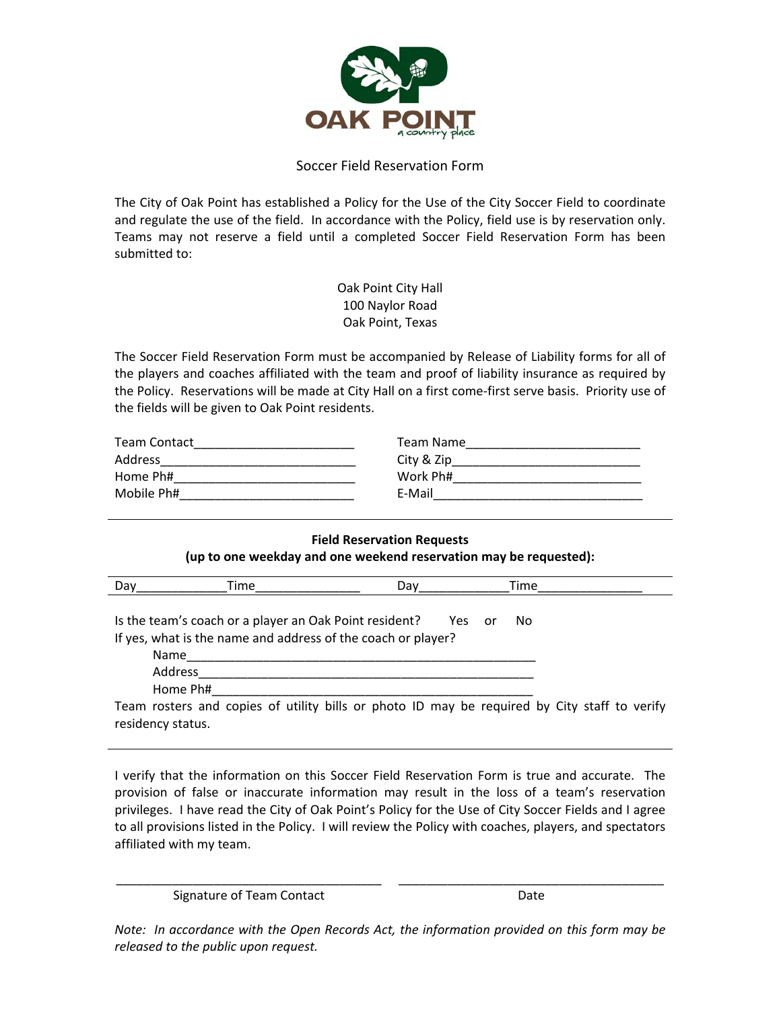

## Soccer Field Reservation Form

The City of Oak Point has established a Policy for the Use of the City Soccer Field to coordinate and regulate the use of the field. In accordance with the Policy, field use is by reservation only. Teams may not reserve a field until a completed Soccer Field Reservation Form has been submitted to:

> Oak Point City Hall 100 Naylor Road Oak Point, Texas

The Soccer Field Reservation Form must be accompanied by Release of Liability forms for all of the players and coaches affiliated with the team and proof of liability insurance as required by the Policy. Reservations will be made at City Hall on a first come-first serve basis. Priority use of the fields will be given to Oak Point residents.

| <b>Team Contact</b> | Team Name  |
|---------------------|------------|
| Address             | City & Zip |
| Home Ph#            | Work Ph#   |
| Mobile Ph#          | E-Mail     |

## **Field Reservation Requests (up to one weekday and one weekend reservation may be requested):**

| Dav | Time                                                                                                                           | Dav    | Time |
|-----|--------------------------------------------------------------------------------------------------------------------------------|--------|------|
|     | Is the team's coach or a player an Oak Point resident?<br>If yes, what is the name and address of the coach or player?<br>Name | Yes or | No.  |
|     | Address                                                                                                                        |        |      |
|     | Home Ph#                                                                                                                       |        |      |
|     | Team rosters and copies of utility bills or photo ID may be required by City staff to verify<br>residency status.              |        |      |

I verify that the information on this Soccer Field Reservation Form is true and accurate. The provision of false or inaccurate information may result in the loss of a team's reservation privileges. I have read the City of Oak Point's Policy for the Use of City Soccer Fields and I agree to all provisions listed in the Policy. I will review the Policy with coaches, players, and spectators affiliated with my team.

\_\_\_\_\_\_\_\_\_\_\_\_\_\_\_\_\_\_\_\_\_\_\_\_\_\_\_\_\_\_\_\_\_\_\_\_\_\_ Signature of Team Contact

\_\_\_\_\_\_\_\_\_\_\_\_\_\_\_\_\_\_\_\_\_\_\_\_\_\_\_\_\_\_\_\_\_\_\_\_\_\_ Date

*Note: In accordance with the Open Records Act, the information provided on this form may be released to the public upon request.*